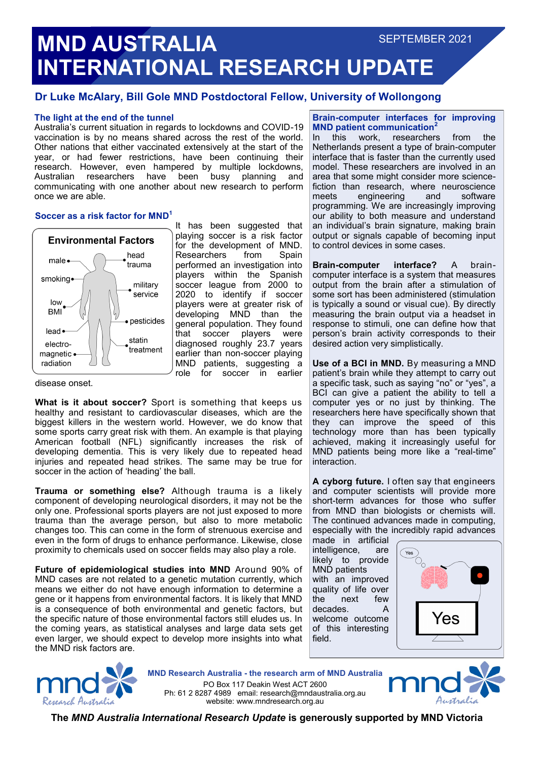## **MND AUSTRALIA INTERNATIONAL RESEARCH UPDATE** SEPTEMBER 2021

#### **Dr Luke McAlary, Bill Gole MND Postdoctoral Fellow, University of Wollongong**

#### **The light at the end of the tunnel**

Australia's current situation in regards to lockdowns and COVID-19 vaccination is by no means shared across the rest of the world. Other nations that either vaccinated extensively at the start of the year, or had fewer restrictions, have been continuing their research. However, even hampered by multiple lockdowns, Australian researchers have been busy planning and communicating with one another about new research to perform once we are able.

#### **Soccer as a risk factor for MND<sup>1</sup>**



It has been suggested that playing soccer is a risk factor for the development of MND. Researchers from Spain performed an investigation into players within the Spanish soccer league from 2000 to 2020 to identify if soccer players were at greater risk of developing MND than the general population. They found that soccer players were diagnosed roughly 23.7 years earlier than non-soccer playing MND patients, suggesting a role for soccer in earlier

disease onset.

**What is it about soccer?** Sport is something that keeps us healthy and resistant to cardiovascular diseases, which are the biggest killers in the western world. However, we do know that some sports carry great risk with them. An example is that playing American football (NFL) significantly increases the risk of developing dementia. This is very likely due to repeated head injuries and repeated head strikes. The same may be true for soccer in the action of 'heading' the ball.

**Trauma or something else?** Although trauma is a likely component of developing neurological disorders, it may not be the only one. Professional sports players are not just exposed to more trauma than the average person, but also to more metabolic changes too. This can come in the form of strenuous exercise and even in the form of drugs to enhance performance. Likewise, close proximity to chemicals used on soccer fields may also play a role.

**Future of epidemiological studies into MND** Around 90% of MND cases are not related to a genetic mutation currently, which means we either do not have enough information to determine a gene or it happens from environmental factors. It is likely that MND is a consequence of both environmental and genetic factors, but the specific nature of those environmental factors still eludes us. In the coming years, as statistical analyses and large data sets get even larger, we should expect to develop more insights into what the MND risk factors are.

### **Brain-computer interfaces for improving MND patient communication<sup>2</sup><br>In this work, researchers**

In this work, researchers from the Netherlands present a type of brain-computer interface that is faster than the currently used model. These researchers are involved in an area that some might consider more sciencefiction than research, where neuroscience meets engineering and software programming. We are increasingly improving our ability to both measure and understand an individual's brain signature, making brain output or signals capable of becoming input to control devices in some cases.

**Brain-computer interface?** A braincomputer interface is a system that measures output from the brain after a stimulation of some sort has been administered (stimulation is typically a sound or visual cue). By directly measuring the brain output via a headset in response to stimuli, one can define how that person's brain activity corresponds to their desired action very simplistically.

**Use of a BCI in MND.** By measuring a MND patient's brain while they attempt to carry out a specific task, such as saying "no" or "yes", a BCI can give a patient the ability to tell a computer yes or no just by thinking. The researchers here have specifically shown that they can improve the speed of this technology more than has been typically achieved, making it increasingly useful for MND patients being more like a "real-time" interaction.

**A cyborg future.** I often say that engineers and computer scientists will provide more short-term advances for those who suffer from MND than biologists or chemists will. The continued advances made in computing, especially with the incredibly rapid advances

made in artificial intelligence, are likely to provide MND patients with an improved quality of life over<br>the next few  $the$  next decades. A welcome outcome of this interesting field.





**MND Research Australia - the research arm of MND Australia** PO Box 117 Deakin West ACT 2600 Ph: 61 2 8287 4989 email: research@mndaustralia.org.au website: www.mndresearch.org.au



**The** *MND Australia International Research Update* **is generously supported by MND Victoria**